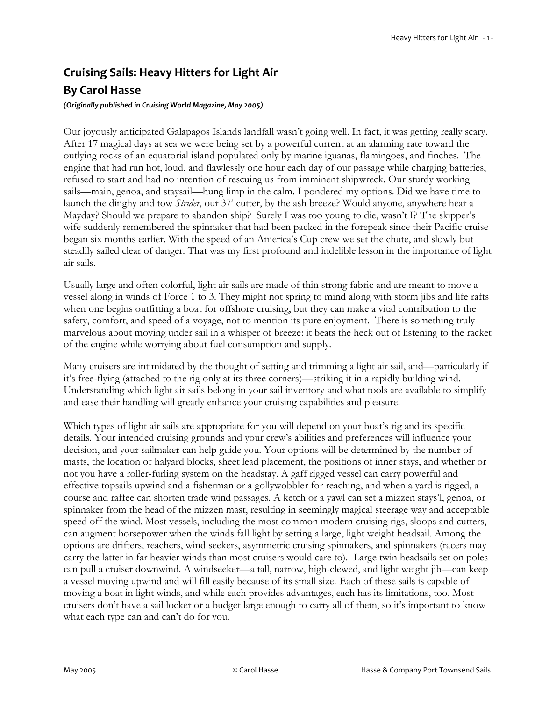# **Cruising Sails: Heavy Hitters for Light Air By Carol Hasse**

#### *(Originally published in Cruising World Magazine, May 2005)*

Our joyously anticipated Galapagos Islands landfall wasn't going well. In fact, it was getting really scary. After 17 magical days at sea we were being set by a powerful current at an alarming rate toward the outlying rocks of an equatorial island populated only by marine iguanas, flamingoes, and finches. The engine that had run hot, loud, and flawlessly one hour each day of our passage while charging batteries, refused to start and had no intention of rescuing us from imminent shipwreck. Our sturdy working sails—main, genoa, and staysail—hung limp in the calm. I pondered my options. Did we have time to launch the dinghy and tow *Strider*, our 37' cutter, by the ash breeze? Would anyone, anywhere hear a Mayday? Should we prepare to abandon ship? Surely I was too young to die, wasn't I? The skipper's wife suddenly remembered the spinnaker that had been packed in the forepeak since their Pacific cruise began six months earlier. With the speed of an America's Cup crew we set the chute, and slowly but steadily sailed clear of danger. That was my first profound and indelible lesson in the importance of light air sails.

Usually large and often colorful, light air sails are made of thin strong fabric and are meant to move a vessel along in winds of Force 1 to 3. They might not spring to mind along with storm jibs and life rafts when one begins outfitting a boat for offshore cruising, but they can make a vital contribution to the safety, comfort, and speed of a voyage, not to mention its pure enjoyment. There is something truly marvelous about moving under sail in a whisper of breeze: it beats the heck out of listening to the racket of the engine while worrying about fuel consumption and supply.

Many cruisers are intimidated by the thought of setting and trimming a light air sail, and—particularly if it's free-flying (attached to the rig only at its three corners)—striking it in a rapidly building wind. Understanding which light air sails belong in your sail inventory and what tools are available to simplify and ease their handling will greatly enhance your cruising capabilities and pleasure.

Which types of light air sails are appropriate for you will depend on your boat's rig and its specific details. Your intended cruising grounds and your crew's abilities and preferences will influence your decision, and your sailmaker can help guide you. Your options will be determined by the number of masts, the location of halyard blocks, sheet lead placement, the positions of inner stays, and whether or not you have a roller-furling system on the headstay. A gaff rigged vessel can carry powerful and effective topsails upwind and a fisherman or a gollywobbler for reaching, and when a yard is rigged, a course and raffee can shorten trade wind passages. A ketch or a yawl can set a mizzen stays'l, genoa, or spinnaker from the head of the mizzen mast, resulting in seemingly magical steerage way and acceptable speed off the wind. Most vessels, including the most common modern cruising rigs, sloops and cutters, can augment horsepower when the winds fall light by setting a large, light weight headsail. Among the options are drifters, reachers, wind seekers, asymmetric cruising spinnakers, and spinnakers (racers may carry the latter in far heavier winds than most cruisers would care to). Large twin headsails set on poles can pull a cruiser downwind. A windseeker—a tall, narrow, high-clewed, and light weight jib—can keep a vessel moving upwind and will fill easily because of its small size. Each of these sails is capable of moving a boat in light winds, and while each provides advantages, each has its limitations, too. Most cruisers don't have a sail locker or a budget large enough to carry all of them, so it's important to know what each type can and can't do for you.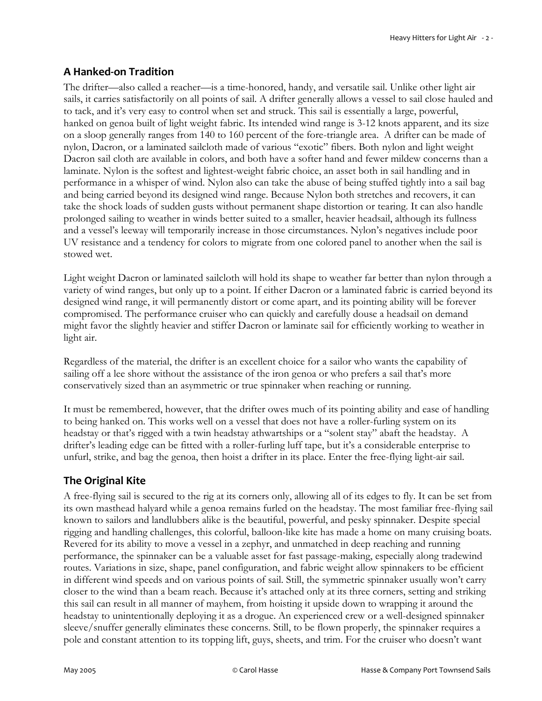## **A Hanked-on Tradition**

The drifter—also called a reacher—is a time-honored, handy, and versatile sail. Unlike other light air sails, it carries satisfactorily on all points of sail. A drifter generally allows a vessel to sail close hauled and to tack, and it's very easy to control when set and struck. This sail is essentially a large, powerful, hanked on genoa built of light weight fabric. Its intended wind range is 3-12 knots apparent, and its size on a sloop generally ranges from 140 to 160 percent of the fore-triangle area. A drifter can be made of nylon, Dacron, or a laminated sailcloth made of various "exotic" fibers. Both nylon and light weight Dacron sail cloth are available in colors, and both have a softer hand and fewer mildew concerns than a laminate. Nylon is the softest and lightest-weight fabric choice, an asset both in sail handling and in performance in a whisper of wind. Nylon also can take the abuse of being stuffed tightly into a sail bag and being carried beyond its designed wind range. Because Nylon both stretches and recovers, it can take the shock loads of sudden gusts without permanent shape distortion or tearing. It can also handle prolonged sailing to weather in winds better suited to a smaller, heavier headsail, although its fullness and a vessel's leeway will temporarily increase in those circumstances. Nylon's negatives include poor UV resistance and a tendency for colors to migrate from one colored panel to another when the sail is stowed wet.

Light weight Dacron or laminated sailcloth will hold its shape to weather far better than nylon through a variety of wind ranges, but only up to a point. If either Dacron or a laminated fabric is carried beyond its designed wind range, it will permanently distort or come apart, and its pointing ability will be forever compromised. The performance cruiser who can quickly and carefully douse a headsail on demand might favor the slightly heavier and stiffer Dacron or laminate sail for efficiently working to weather in light air.

Regardless of the material, the drifter is an excellent choice for a sailor who wants the capability of sailing off a lee shore without the assistance of the iron genoa or who prefers a sail that's more conservatively sized than an asymmetric or true spinnaker when reaching or running.

It must be remembered, however, that the drifter owes much of its pointing ability and ease of handling to being hanked on. This works well on a vessel that does not have a roller-furling system on its headstay or that's rigged with a twin headstay athwartships or a "solent stay" abaft the headstay. A drifter's leading edge can be fitted with a roller-furling luff tape, but it's a considerable enterprise to unfurl, strike, and bag the genoa, then hoist a drifter in its place. Enter the free-flying light-air sail.

### **The Original Kite**

A free-flying sail is secured to the rig at its corners only, allowing all of its edges to fly. It can be set from its own masthead halyard while a genoa remains furled on the headstay. The most familiar free-flying sail known to sailors and landlubbers alike is the beautiful, powerful, and pesky spinnaker. Despite special rigging and handling challenges, this colorful, balloon-like kite has made a home on many cruising boats. Revered for its ability to move a vessel in a zephyr, and unmatched in deep reaching and running performance, the spinnaker can be a valuable asset for fast passage-making, especially along tradewind routes. Variations in size, shape, panel configuration, and fabric weight allow spinnakers to be efficient in different wind speeds and on various points of sail. Still, the symmetric spinnaker usually won't carry closer to the wind than a beam reach. Because it's attached only at its three corners, setting and striking this sail can result in all manner of mayhem, from hoisting it upside down to wrapping it around the headstay to unintentionally deploying it as a drogue. An experienced crew or a well-designed spinnaker sleeve/snuffer generally eliminates these concerns. Still, to be flown properly, the spinnaker requires a pole and constant attention to its topping lift, guys, sheets, and trim. For the cruiser who doesn't want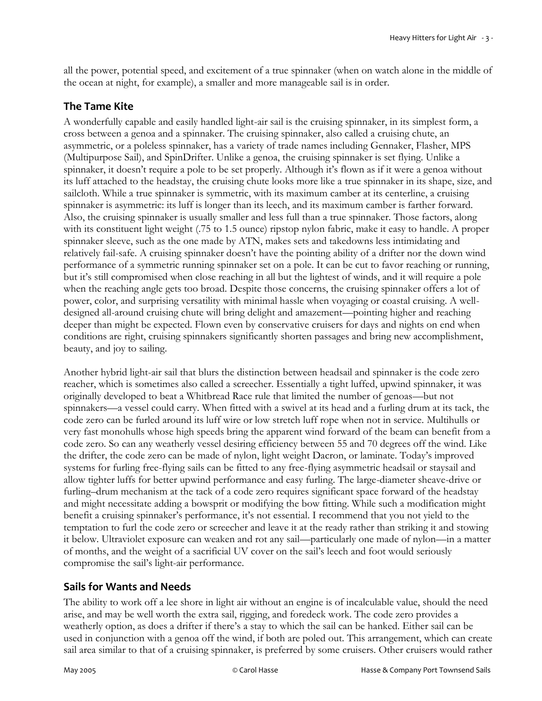all the power, potential speed, and excitement of a true spinnaker (when on watch alone in the middle of the ocean at night, for example), a smaller and more manageable sail is in order.

#### **The Tame Kite**

A wonderfully capable and easily handled light-air sail is the cruising spinnaker, in its simplest form, a cross between a genoa and a spinnaker. The cruising spinnaker, also called a cruising chute, an asymmetric, or a poleless spinnaker, has a variety of trade names including Gennaker, Flasher, MPS (Multipurpose Sail), and SpinDrifter. Unlike a genoa, the cruising spinnaker is set flying. Unlike a spinnaker, it doesn't require a pole to be set properly. Although it's flown as if it were a genoa without its luff attached to the headstay, the cruising chute looks more like a true spinnaker in its shape, size, and sailcloth. While a true spinnaker is symmetric, with its maximum camber at its centerline, a cruising spinnaker is asymmetric: its luff is longer than its leech, and its maximum camber is farther forward. Also, the cruising spinnaker is usually smaller and less full than a true spinnaker. Those factors, along with its constituent light weight (.75 to 1.5 ounce) ripstop nylon fabric, make it easy to handle. A proper spinnaker sleeve, such as the one made by ATN, makes sets and takedowns less intimidating and relatively fail-safe. A cruising spinnaker doesn't have the pointing ability of a drifter nor the down wind performance of a symmetric running spinnaker set on a pole. It can be cut to favor reaching or running, but it's still compromised when close reaching in all but the lightest of winds, and it will require a pole when the reaching angle gets too broad. Despite those concerns, the cruising spinnaker offers a lot of power, color, and surprising versatility with minimal hassle when voyaging or coastal cruising. A welldesigned all-around cruising chute will bring delight and amazement—pointing higher and reaching deeper than might be expected. Flown even by conservative cruisers for days and nights on end when conditions are right, cruising spinnakers significantly shorten passages and bring new accomplishment, beauty, and joy to sailing.

Another hybrid light-air sail that blurs the distinction between headsail and spinnaker is the code zero reacher, which is sometimes also called a screecher. Essentially a tight luffed, upwind spinnaker, it was originally developed to beat a Whitbread Race rule that limited the number of genoas—but not spinnakers—a vessel could carry. When fitted with a swivel at its head and a furling drum at its tack, the code zero can be furled around its luff wire or low stretch luff rope when not in service. Multihulls or very fast monohulls whose high speeds bring the apparent wind forward of the beam can benefit from a code zero. So can any weatherly vessel desiring efficiency between 55 and 70 degrees off the wind. Like the drifter, the code zero can be made of nylon, light weight Dacron, or laminate. Today's improved systems for furling free-flying sails can be fitted to any free-flying asymmetric headsail or staysail and allow tighter luffs for better upwind performance and easy furling. The large-diameter sheave-drive or furling–drum mechanism at the tack of a code zero requires significant space forward of the headstay and might necessitate adding a bowsprit or modifying the bow fitting. While such a modification might benefit a cruising spinnaker's performance, it's not essential. I recommend that you not yield to the temptation to furl the code zero or screecher and leave it at the ready rather than striking it and stowing it below. Ultraviolet exposure can weaken and rot any sail—particularly one made of nylon—in a matter of months, and the weight of a sacrificial UV cover on the sail's leech and foot would seriously compromise the sail's light-air performance.

### **Sails for Wants and Needs**

The ability to work off a lee shore in light air without an engine is of incalculable value, should the need arise, and may be well worth the extra sail, rigging, and foredeck work. The code zero provides a weatherly option, as does a drifter if there's a stay to which the sail can be hanked. Either sail can be used in conjunction with a genoa off the wind, if both are poled out. This arrangement, which can create sail area similar to that of a cruising spinnaker, is preferred by some cruisers. Other cruisers would rather